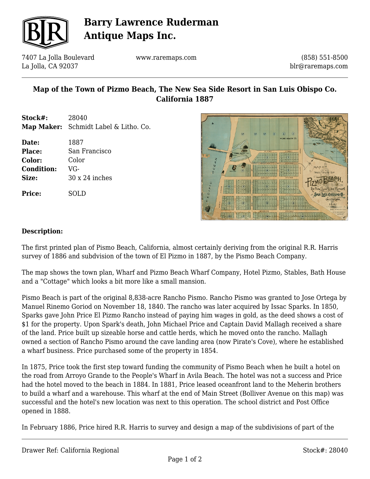

# **Barry Lawrence Ruderman Antique Maps Inc.**

7407 La Jolla Boulevard La Jolla, CA 92037

www.raremaps.com

(858) 551-8500 blr@raremaps.com

## **Map of the Town of Pizmo Beach, The New Sea Side Resort in San Luis Obispo Co. California 1887**

**Stock#:** 28040 **Map Maker:** Schmidt Label & Litho. Co.

**Date:** 1887 **Place:** San Francisco **Color:** Color **Condition:** VG-**Size:** 30 x 24 inches

**Price:** SOLD



#### **Description:**

The first printed plan of Pismo Beach, California, almost certainly deriving from the original R.R. Harris survey of 1886 and subdvision of the town of El Pizmo in 1887, by the Pismo Beach Company.

The map shows the town plan, Wharf and Pizmo Beach Wharf Company, Hotel Pizmo, Stables, Bath House and a "Cottage" which looks a bit more like a small mansion.

Pismo Beach is part of the original 8,838-acre Rancho Pismo. Rancho Pismo was granted to Jose Ortega by Manuel Rinemo Goriod on November 18, 1840. The rancho was later acquired by Issac Sparks. In 1850, Sparks gave John Price El Pizmo Rancho instead of paying him wages in gold, as the deed shows a cost of \$1 for the property. Upon Spark's death, John Michael Price and Captain David Mallagh received a share of the land. Price built up sizeable horse and cattle herds, which he moved onto the rancho. Mallagh owned a section of Rancho Pismo around the cave landing area (now Pirate's Cove), where he established a wharf business. Price purchased some of the property in 1854.

In 1875, Price took the first step toward funding the community of Pismo Beach when he built a hotel on the road from Arroyo Grande to the People's Wharf in Avila Beach. The hotel was not a success and Price had the hotel moved to the beach in 1884. In 1881, Price leased oceanfront land to the Meherin brothers to build a wharf and a warehouse. This wharf at the end of Main Street (Bolliver Avenue on this map) was successful and the hotel's new location was next to this operation. The school district and Post Office opened in 1888.

In February 1886, Price hired R.R. Harris to survey and design a map of the subdivisions of part of the